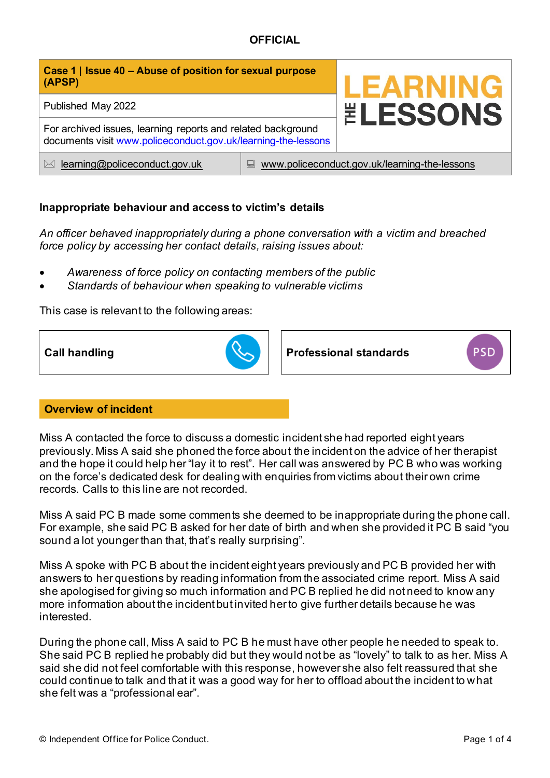| Case 1   Issue 40 – Abuse of position for sexual purpose<br>(APSP)                                                            |                                                    | <b>LEARNING</b>        |
|-------------------------------------------------------------------------------------------------------------------------------|----------------------------------------------------|------------------------|
| Published May 2022                                                                                                            |                                                    | <b><i>ELESSONS</i></b> |
| For archived issues, learning reports and related background<br>documents visit www.policeconduct.gov.uk/learning-the-lessons |                                                    |                        |
| learning@policeconduct.gov.uk<br>$\bowtie$                                                                                    | www.policeconduct.gov.uk/learning-the-lessons<br>鳳 |                        |

# **Inappropriate behaviour and access to victim's details**

*An officer behaved inappropriately during a phone conversation with a victim and breached force policy by accessing her contact details, raising issues about:* 

- *Awareness of force policy on contacting members of the public*
- *Standards of behaviour when speaking to vulnerable victims*

This case is relevant to the following areas:



**Call handling Professional standards** 

**PSD** 

## **Overview of incident**

Miss A contacted the force to discuss a domestic incident she had reported eight years previously. Miss A said she phoned the force about the incident on the advice of her therapist and the hope it could help her "lay it to rest". Her call was answered by PC B who was working on the force's dedicated desk for dealing with enquiries from victims about their own crime records. Calls to this line are not recorded.

Miss A said PC B made some comments she deemed to be inappropriate during the phone call. For example, she said PC B asked for her date of birth and when she provided it PC B said "you sound a lot younger than that, that's really surprising".

Miss A spoke with PC B about the incident eight years previously and PC B provided her with answers to her questions by reading information from the associated crime report. Miss A said she apologised for giving so much information and PC B replied he did not need to know any more information about the incident but invited her to give further details because he was interested.

During the phone call, Miss A said to PC B he must have other people he needed to speak to. She said PC B replied he probably did but they would not be as "lovely" to talk to as her. Miss A said she did not feel comfortable with this response, however she also felt reassured that she could continue to talk and that it was a good way for her to offload about the incident to what she felt was a "professional ear".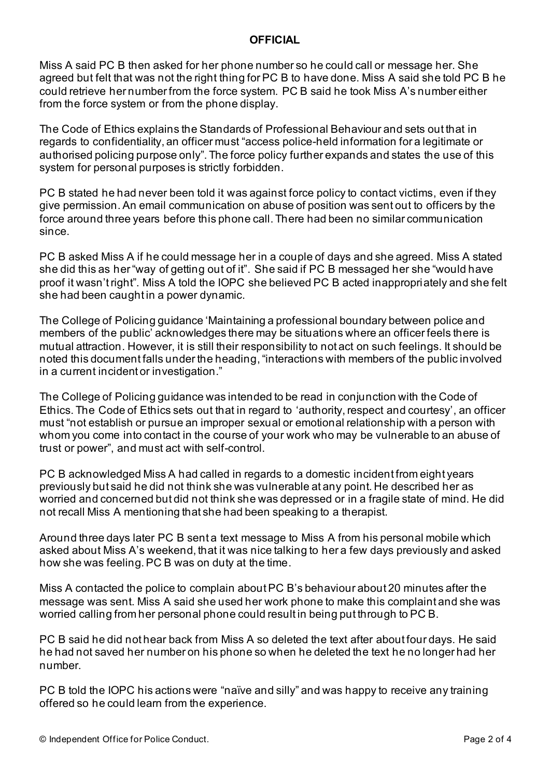Miss A said PC B then asked for her phone number so he could call or message her. She agreed but felt that was not the right thing for PC B to have done. Miss A said she told PC B he could retrieve her number from the force system. PC B said he took Miss A's number either from the force system or from the phone display.

The Code of Ethics explains the Standards of Professional Behaviour and sets out that in regards to confidentiality, an officer must "access police-held information for a legitimate or authorised policing purpose only". The force policy further expands and states the use of this system for personal purposes is strictly forbidden.

PC B stated he had never been told it was against force policy to contact victims, even if they give permission. An email communication on abuse of position was sent out to officers by the force around three years before this phone call. There had been no similar communication since.

PC B asked Miss A if he could message her in a couple of days and she agreed. Miss A stated she did this as her "way of getting out of it". She said if PC B messaged her she "would have proof it wasn't right". Miss A told the IOPC she believed PC B acted inappropriately and she felt she had been caught in a power dynamic.

The College of Policing guidance 'Maintaining a professional boundary between police and members of the public' acknowledges there may be situations where an officer feels there is mutual attraction. However, it is still their responsibility to not act on such feelings. It should be noted this document falls under the heading, "interactions with members of the public involved in a current incident or investigation."

The College of Policing guidance was intended to be read in conjunction with the Code of Ethics. The Code of Ethics sets out that in regard to 'authority, respect and courtesy', an officer must "not establish or pursue an improper sexual or emotional relationship with a person with whom you come into contact in the course of your work who may be vulnerable to an abuse of trust or power", and must act with self-control.

PC B acknowledged Miss A had called in regards to a domestic incident from eight years previously but said he did not think she was vulnerable at any point. He described her as worried and concerned but did not think she was depressed or in a fragile state of mind. He did not recall Miss A mentioning that she had been speaking to a therapist.

Around three days later PC B sent a text message to Miss A from his personal mobile which asked about Miss A's weekend, that it was nice talking to her a few days previously and asked how she was feeling. PC B was on duty at the time.

Miss A contacted the police to complain about PC B's behaviour about 20 minutes after the message was sent. Miss A said she used her work phone to make this complaint and she was worried calling from her personal phone could result in being put through to PC B.

PC B said he did not hear back from Miss A so deleted the text after about four days. He said he had not saved her number on his phone so when he deleted the text he no longer had her number.

PC B told the IOPC his actions were "naïve and silly" and was happy to receive any training offered so he could learn from the experience.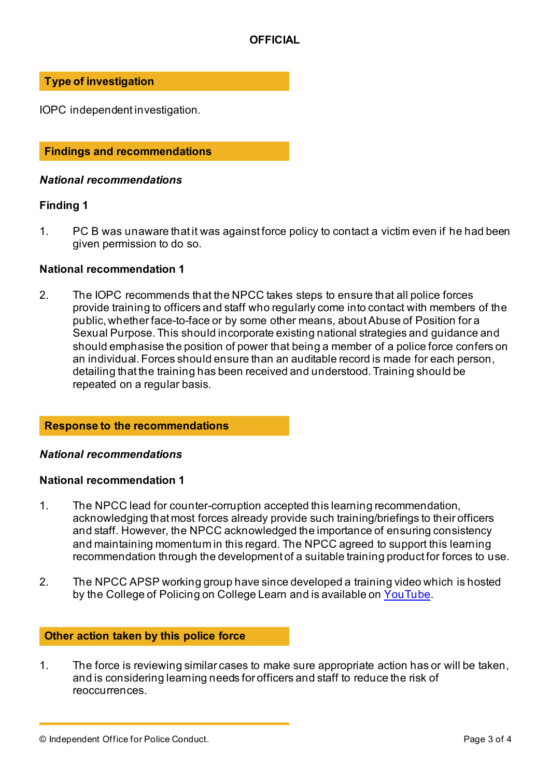## **Type of investigation**

IOPC independent investigation.

## **Findings and recommendations**

## *National recommendations*

## **Finding 1**

1. PC B was unaware that it was against force policy to contact a victim even if he had been given permission to do so.

## **National recommendation 1**

2. The IOPC recommends that the NPCC takes steps to ensure that all police forces provide training to officers and staff who regularly come into contact with members of the public, whether face-to-face or by some other means, about Abuse of Position for a Sexual Purpose. This should incorporate existing national strategies and guidance and should emphasise the position of power that being a member of a police force confers on an individual. Forces should ensure than an auditable record is made for each person, detailing that the training has been received and understood. Training should be repeated on a regular basis.

#### **Response to the recommendations**

#### *National recommendations*

#### **National recommendation 1**

- 1. The NPCC lead for counter-corruption accepted this learning recommendation, acknowledging that most forces already provide such training/briefings to their officers and staff. However, the NPCC acknowledged the importance of ensuring consistency and maintaining momentum in this regard. The NPCC agreed to support this learning recommendation through the development of a suitable training product for forces to use.
- 2. The NPCC APSP working group have since developed a training video which is hosted by the College of Policing on College Learn and is available on [YouTube](https://www.youtube.com/watch?v=ONcyBtaQWl8).

## **Other action taken by this police force**

1. The force is reviewing similar cases to make sure appropriate action has or will be taken, and is considering learning needs for officers and staff to reduce the risk of reoccurrences.